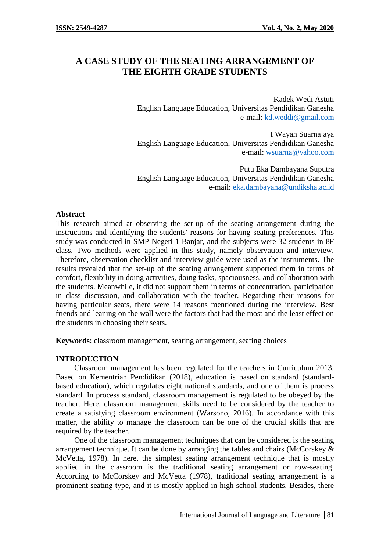# **A CASE STUDY OF THE SEATING ARRANGEMENT OF THE EIGHTH GRADE STUDENTS**

Kadek Wedi Astuti English Language Education, Universitas Pendidikan Ganesha e-mail: kd.weddi@gmail.com

I Wayan Suarnajaya English Language Education, Universitas Pendidikan Ganesha e-mail: wsuarna@yahoo.com

Putu Eka Dambayana Suputra English Language Education, Universitas Pendidikan Ganesha e-mail: eka.dambayana@undiksha.ac.id

## **Abstract**

This research aimed at observing the set-up of the seating arrangement during the instructions and identifying the students' reasons for having seating preferences. This study was conducted in SMP Negeri 1 Banjar, and the subjects were 32 students in 8F class. Two methods were applied in this study, namely observation and interview. Therefore, observation checklist and interview guide were used as the instruments. The results revealed that the set-up of the seating arrangement supported them in terms of comfort, flexibility in doing activities, doing tasks, spaciousness, and collaboration with the students. Meanwhile, it did not support them in terms of concentration, participation in class discussion, and collaboration with the teacher. Regarding their reasons for having particular seats, there were 14 reasons mentioned during the interview. Best friends and leaning on the wall were the factors that had the most and the least effect on the students in choosing their seats.

**Keywords**: classroom management, seating arrangement, seating choices

# **INTRODUCTION**

Classroom management has been regulated for the teachers in Curriculum 2013. Based on Kementrian Pendidikan (2018), education is based on standard (standard based education), which regulates eight national standards, and one of them is process standard. In process standard, classroom management is regulated to be obeyed by the teacher. Here, classroom management skills need to be considered by the teacher to create a satisfying classroom environment (Warsono, 2016). In accordance with this matter, the ability to manage the classroom can be one of the crucial skills that are required by the teacher.

One of the classroom management techniques that can be considered is the seating arrangement technique. It can be done by arranging the tables and chairs (McCorskey  $\&$ McVetta, 1978). In here, the simplest seating arrangement technique that is mostly applied in the classroom is the traditional seating arrangement or row-seating. According to McCorskey and McVetta (1978), traditional seating arrangement is a prominent seating type, and it is mostly applied in high school students. Besides, there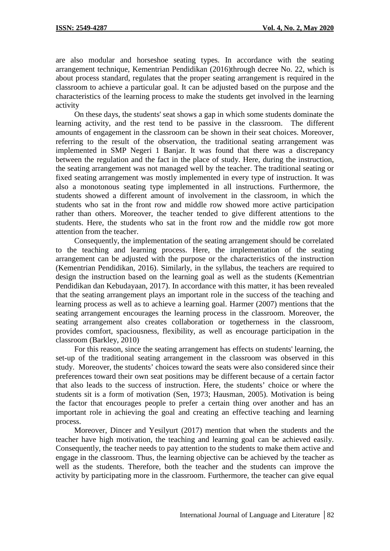are also modular and horseshoe seating types. In accordance with the seating arrangement technique, Kementrian Pendidikan (2016)through decree No. 22, which is about process standard, regulates that the proper seating arrangement is required in the classroom to achieve a particular goal. It can be adjusted based on the purpose and the characteristics of the learning process to make the students get involved in the learning activity

On these days, the students' seat shows a gap in which some students dominate the learning activity, and the rest tend to be passive in the classroom. The different amounts of engagement in the classroom can be shown in their seat choices. Moreover, referring to the result of the observation, the traditional seating arrangement was implemented in SMP Negeri 1 Banjar. It was found that there was a discrepancy between the regulation and the fact in the place of study. Here, during the instruction, the seating arrangement was not managed well by the teacher. The traditional seating or fixed seating arrangement was mostly implemented in every type of instruction. It was also a monotonous seating type implemented in all instructions. Furthermore, the students showed a different amount of involvement in the classroom, in which the students who sat in the front row and middle row showed more active participation rather than others. Moreover, the teacher tended to give different attentions to the students. Here, the students who sat in the front row and the middle row got more attention from the teacher.

Consequently, the implementation of the seating arrangement should be correlated to the teaching and learning process. Here, the implementation of the seating arrangement can be adjusted with the purpose or the characteristics of the instruction (Kementrian Pendidikan, 2016). Similarly, in the syllabus, the teachers are required to design the instruction based on the learning goal as well as the students (Kementrian Pendidikan dan Kebudayaan, 2017). In accordance with this matter, it has been revealed that the seating arrangement plays an important role in the success of the teaching and learning process as well as to achieve a learning goal. Harmer (2007) mentions that the seating arrangement encourages the learning process in the classroom. Moreover, the seating arrangement also creates collaboration or togetherness in the classroom, provides comfort, spaciousness, flexibility, as well as encourage participation in the classroom (Barkley, 2010)

For this reason, since the seating arrangement has effects on students' learning, the set-up of the traditional seating arrangement in the classroom was observed in this study. Moreover, the students' choices toward the seats were also considered since their preferences toward their own seat positions may be different because of a certain factor that also leads to the success of instruction. Here, the students' choice or where the students sit is a form of motivation (Sen, 1973; Hausman, 2005). Motivation is being the factor that encourages people to prefer a certain thing over another and has an important role in achieving the goal and creating an effective teaching and learning process.

Moreover, Dincer and Yesilyurt (2017) mention that when the students and the teacher have high motivation, the teaching and learning goal can be achieved easily. Consequently, the teacher needs to pay attention to the students to make them active and engage in the classroom. Thus, the learning objective can be achieved by the teacher as well as the students. Therefore, both the teacher and the students can improve the activity by participating more in the classroom. Furthermore, the teacher can give equal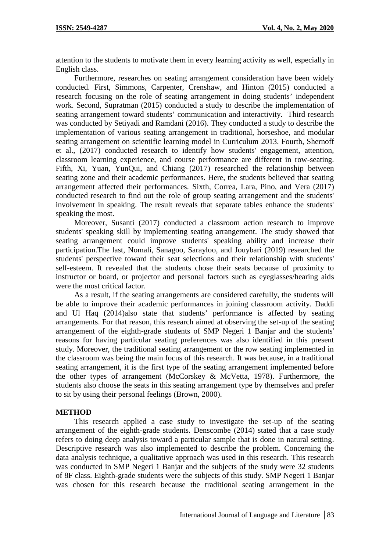attention to the students to motivate them in every learning activity as well, especially in English class.

Furthermore, researches on seating arrangement consideration have been widely conducted. First, Simmons, Carpenter, Crenshaw, and Hinton (2015) conducted a research focusing on the role of seating arrangement in doing students' independent work. Second, Supratman (2015) conducted a study to describe the implementation of seating arrangement toward students' communication and interactivity. Third research was conducted by Setiyadi and Ramdani (2016). They conducted a study to describe the implementation of various seating arrangement in traditional, horseshoe, and modular seating arrangement on scientific learning model in Curriculum 2013. Fourth, Shernoff et al., (2017) conducted research to identify how students' engagement, attention, classroom learning experience, and course performance are different in row-seating. Fifth, Xi, Yuan, YunQui, and Chiang (2017) researched the relationship between seating zone and their academic performances. Here, the students believed that seating arrangement affected their performances. Sixth, Correa, Lara, Pino, and Vera (2017) conducted research to find out the role of group seating arrangement and the students' involvement in speaking. The result reveals that separate tables enhance the students' speaking the most.

Moreover, Susanti (2017) conducted a classroom action research to improve students' speaking skill by implementing seating arrangement. The study showed that seating arrangement could improve students' speaking ability and increase their participation.The last, Nomali, Sanagoo, Sarayloo, and Jouybari (2019) researched the students' perspective toward their seat selections and their relationship with students' self-esteem. It revealed that the students chose their seats because of proximity to instructor or board, or projector and personal factors such as eyeglasses/hearing aids were the most critical factor.

As a result, if the seating arrangements are considered carefully, the students will be able to improve their academic performances in joining classroom activity. Daddi and Ul Haq (2014)also state that students' performance is affected by seating arrangements. For that reason, this research aimed at observing the set-up of the seating arrangement of the eighth-grade students of SMP Negeri 1 Banjar and the students' reasons for having particular seating preferences was also identified in this present study. Moreover, the traditional seating arrangement or the row seating implemented in the classroom was being the main focus of this research. It was because, in a traditional seating arrangement, it is the first type of the seating arrangement implemented before the other types of arrangement (McCorskey & McVetta, 1978). Furthermore, the students also choose the seats in this seating arrangement type by themselves and prefer to sit by using their personal feelings (Brown, 2000).

## **METHOD**

This research applied a case study to investigate the set-up of the seating arrangement of the eighth-grade students. Denscombe (2014) stated that a case study refers to doing deep analysis toward a particular sample that is done in natural setting. Descriptive research was also implemented to describe the problem. Concerning the data analysis technique, a qualitative approach was used in this research. This research was conducted in SMP Negeri 1 Banjar and the subjects of the study were 32 students of 8F class. Eighth-grade students were the subjects of this study. SMP Negeri 1 Banjar was chosen for this research because the traditional seating arrangement in the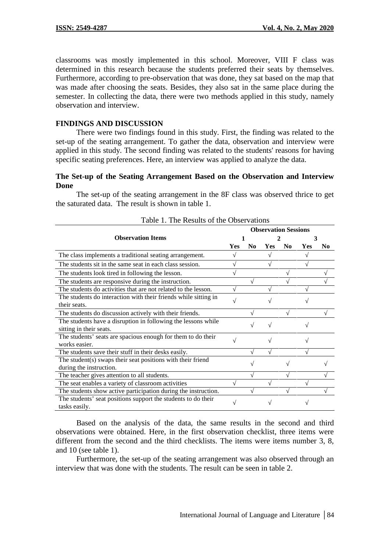classrooms was mostly implemented in this school. Moreover, VIII F class was determined in this research because the students preferred their seats by themselves. Furthermore, according to pre-observation that was done, they sat based on the map that was made after choosing the seats. Besides, they also sat in the same place during the semester. In collecting the data, there were two methods applied in this study, namely observation and interview.

# **FINDINGS AND DISCUSSION**

There were two findings found in this study. First, the finding was related to the set-up of the seating arrangement. To gather the data, observation and interview were applied in this study. The second finding was related to the students' reasons for having specific seating preferences. Here, an interview was applied to analyze the data.

#### **The Set-up of the Seating Arrangement Based on the Observation and Interview Done**

The set-up of the seating arrangement in the 8F class was observed thrice to get the saturated data. The result is shown in table 1.

| Table 1. The Results of the Obset validity                      |                             |                |     |                |     |                |  |
|-----------------------------------------------------------------|-----------------------------|----------------|-----|----------------|-----|----------------|--|
|                                                                 | <b>Observation Sessions</b> |                |     |                |     |                |  |
| <b>Observation Items</b>                                        | 2<br>3                      |                |     |                |     |                |  |
|                                                                 | Yes                         | N <sub>0</sub> | Yes | N <sub>0</sub> | Yes | N <sub>0</sub> |  |
| The class implements a traditional seating arrangement.         |                             |                |     |                |     |                |  |
| The students sit in the same seat in each class session.        |                             |                |     |                |     |                |  |
| The students look tired in following the lesson.                |                             |                |     |                |     |                |  |
| The students are responsive during the instruction.             |                             |                |     |                |     |                |  |
| The students do activities that are not related to the lesson.  |                             |                |     |                |     |                |  |
| The students do interaction with their friends while sitting in |                             |                |     |                |     |                |  |
| their seats.                                                    |                             |                |     |                |     |                |  |
| The students do discussion actively with their friends.         |                             |                |     |                |     |                |  |
| The students have a disruption in following the lessons while   |                             |                |     |                |     |                |  |
| sitting in their seats.                                         |                             |                |     |                |     |                |  |
| The students' seats are spacious enough for them to do their    |                             |                |     |                |     |                |  |
| works easier.                                                   |                             |                |     |                |     |                |  |
| The students save their stuff in their desks easily.            |                             |                |     |                |     |                |  |
| The student(s) swaps their seat positions with their friend     |                             |                |     |                |     |                |  |
| during the instruction.                                         |                             |                |     |                |     |                |  |
| The teacher gives attention to all students.                    |                             |                |     |                |     |                |  |
| The seat enables a variety of classroom activities              |                             |                |     |                |     |                |  |
| The students show active participation during the instruction.  |                             |                |     |                |     |                |  |
| The students' seat positions support the students to do their   |                             |                |     |                |     |                |  |
| tasks easily.                                                   |                             |                |     |                |     |                |  |

Table 1. The Results of the Observations

Based on the analysis of the data, the same results in the second and third observations were obtained. Here, in the first observation checklist, three items were different from the second and the third checklists. The items were items number 3, 8, and 10 (see table 1).

Furthermore, the set-up of the seating arrangement was also observed through an interview that was done with the students. The result can be seen in table 2.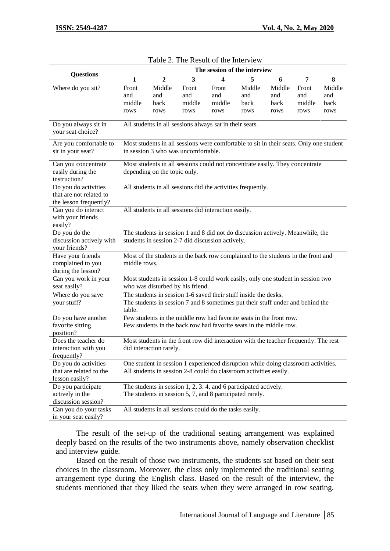|                                                                           |                                |                                                                                                                                                        |                                |                                | The session of the interview  |                               |                                |                               |
|---------------------------------------------------------------------------|--------------------------------|--------------------------------------------------------------------------------------------------------------------------------------------------------|--------------------------------|--------------------------------|-------------------------------|-------------------------------|--------------------------------|-------------------------------|
| <b>Questions</b>                                                          | 1                              | $\boldsymbol{2}$                                                                                                                                       | 3                              | 4                              | 5                             | 6                             | 7                              | 8                             |
| Where do you sit?                                                         | Front<br>and<br>middle<br>rows | Middle<br>and<br>back<br>rows                                                                                                                          | Front<br>and<br>middle<br>rows | Front<br>and<br>middle<br>rows | Middle<br>and<br>back<br>rows | Middle<br>and<br>back<br>rows | Front<br>and<br>middle<br>rows | Middle<br>and<br>back<br>rows |
| Do you always sit in<br>your seat choice?                                 |                                | All students in all sessions always sat in their seats.                                                                                                |                                |                                |                               |                               |                                |                               |
| Are you comfortable to<br>sit in your seat?                               |                                | Most students in all sessions were comfortable to sit in their seats. Only one student<br>in session 3 who was uncomfortable.                          |                                |                                |                               |                               |                                |                               |
| Can you concentrate<br>easily during the<br>instruction?                  |                                | Most students in all sessions could not concentrate easily. They concentrate<br>depending on the topic only.                                           |                                |                                |                               |                               |                                |                               |
| Do you do activities<br>that are not related to<br>the lesson frequently? |                                | All students in all sessions did the activities frequently.                                                                                            |                                |                                |                               |                               |                                |                               |
| Can you do interact<br>with your friends<br>easily?                       |                                | All students in all sessions did interaction easily.                                                                                                   |                                |                                |                               |                               |                                |                               |
| Do you do the<br>discussion actively with<br>your friends?                |                                | The students in session 1 and 8 did not do discussion actively. Meanwhile, the<br>students in session 2-7 did discussion actively.                     |                                |                                |                               |                               |                                |                               |
| Have your friends<br>complained to you<br>during the lesson?              | middle rows.                   | Most of the students in the back row complained to the students in the front and                                                                       |                                |                                |                               |                               |                                |                               |
| Can you work in your<br>seat easily?                                      |                                | Most students in session 1-8 could work easily, only one student in session two<br>who was disturbed by his friend.                                    |                                |                                |                               |                               |                                |                               |
| Where do you save<br>your stuff?                                          | table.                         | The students in session 1-6 saved their stuff inside the desks.<br>The students in session 7 and 8 sometimes put their stuff under and behind the      |                                |                                |                               |                               |                                |                               |
| Do you have another<br>favorite sitting<br>position?                      |                                | Few students in the middle row had favorite seats in the front row.<br>Few students in the back row had favorite seats in the middle row.              |                                |                                |                               |                               |                                |                               |
| Does the teacher do<br>interaction with you<br>frequently?                |                                | Most students in the front row did interaction with the teacher frequently. The rest<br>did interaction rarely.                                        |                                |                                |                               |                               |                                |                               |
| Do you do activities<br>that are related to the<br>lesson easily?         |                                | One student in session 1 experienced disruption while doing classroom activities.<br>All students in session 2-8 could do classroom activities easily. |                                |                                |                               |                               |                                |                               |
| Do you participate<br>actively in the<br>discussion session?              |                                | The students in session 1, 2, 3.4, and 6 participated actively.<br>The students in session 5, 7, and 8 participated rarely.                            |                                |                                |                               |                               |                                |                               |
| Can you do your tasks<br>in your seat easily?                             |                                | All students in all sessions could do the tasks easily.                                                                                                |                                |                                |                               |                               |                                |                               |

| Table 2. The Result of the Interview |  |
|--------------------------------------|--|
|--------------------------------------|--|

The result of the set-up of the traditional seating arrangement was explained deeply based on the results of the two instruments above, namely observation checklist and interview guide.

Based on the result of those two instruments, the students sat based on their seat choices in the classroom. Moreover, the class only implemented the traditional seating arrangement type during the English class. Based on the result of the interview, the students mentioned that they liked the seats when they were arranged in row seating.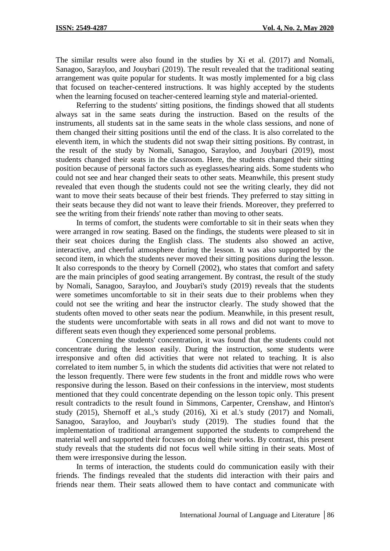The similar results were also found in the studies by Xi et al. (2017) and Nomali, Sanagoo, Sarayloo, and Jouybari (2019). The result revealed that the traditional seating arrangement was quite popular for students. It was mostly implemented for a big class that focused on teacher-centered instructions. It was highly accepted by the students when the learning focused on teacher-centered learning style and material-oriented.

Referring to the students' sitting positions, the findings showed that all students always sat in the same seats during the instruction. Based on the results of the instruments, all students sat in the same seats in the whole class sessions, and none of them changed their sitting positions until the end of the class. It is also correlated to the eleventh item, in which the students did not swap their sitting positions. By contrast, in the result of the study by Nomali, Sanagoo, Sarayloo, and Jouybari (2019), most students changed their seats in the classroom. Here, the students changed their sitting position because of personal factors such as eyeglasses/hearing aids. Some students who could not see and hear changed their seats to other seats. Meanwhile, this present study revealed that even though the students could not see the writing clearly, they did not want to move their seats because of their best friends. They preferred to stay sitting in their seats because they did not want to leave their friends. Moreover, they preferred to see the writing from their friends' note rather than moving to other seats.

In terms of comfort, the students were comfortable to sit in their seats when they were arranged in row seating. Based on the findings, the students were pleased to sit in their seat choices during the English class. The students also showed an active, interactive, and cheerful atmosphere during the lesson. It was also supported by the second item, in which the students never moved their sitting positions during the lesson. It also corresponds to the theory by Cornell (2002), who states that comfort and safety are the main principles of good seating arrangement. By contrast, the result of the study by Nomali, Sanagoo, Sarayloo, and Jouybari's study (2019) reveals that the students were sometimes uncomfortable to sit in their seats due to their problems when they could not see the writing and hear the instructor clearly. The study showed that the students often moved to other seats near the podium. Meanwhile, in this present result, the students were uncomfortable with seats in all rows and did not want to move to different seats even though they experienced some personal problems.

Concerning the students' concentration, it was found that the students could not concentrate during the lesson easily. During the instruction, some students were irresponsive and often did activities that were not related to teaching. It is also correlated to item number 5, in which the students did activities that were not related to the lesson frequently. There were few students in the front and middle rows who were responsive during the lesson. Based on their confessions in the interview, most students mentioned that they could concentrate depending on the lesson topic only. This present result contradicts to the result found in Simmons, Carpenter, Crenshaw, and Hinton's study (2015), Shernoff et al.,'s study (2016), Xi et al.'s study (2017) and Nomali, Sanagoo, Sarayloo, and Jouybari's study (2019). The studies found that the implementation of traditional arrangement supported the students to comprehend the material well and supported their focuses on doing their works. By contrast, this present study reveals that the students did not focus well while sitting in their seats. Most of them were irresponsive during the lesson.

In terms of interaction, the students could do communication easily with their friends. The findings revealed that the students did interaction with their pairs and friends near them. Their seats allowed them to have contact and communicate with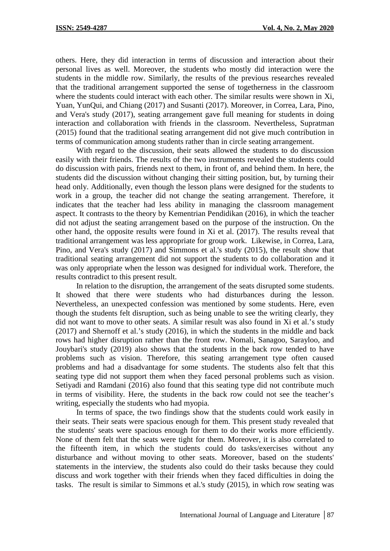others. Here, they did interaction in terms of discussion and interaction about their personal lives as well. Moreover, the students who mostly did interaction were the students in the middle row. Similarly, the results of the previous researches revealed that the traditional arrangement supported the sense of togetherness in the classroom where the students could interact with each other. The similar results were shown in Xi, Yuan, YunQui, and Chiang (2017) and Susanti (2017). Moreover, in Correa, Lara, Pino, and Vera's study (2017), seating arrangement gave full meaning for students in doing interaction and collaboration with friends in the classroom. Nevertheless, Supratman (2015) found that the traditional seating arrangement did not give much contribution in terms of communication among students rather than in circle seating arrangement.

With regard to the discussion, their seats allowed the students to do discussion easily with their friends. The results of the two instruments revealed the students could do discussion with pairs, friends next to them, in front of, and behind them. In here, the students did the discussion without changing their sitting position, but, by turning their head only. Additionally, even though the lesson plans were designed for the students to work in a group, the teacher did not change the seating arrangement. Therefore, it indicates that the teacher had less ability in managing the classroom management aspect. It contrasts to the theory by Kementrian Pendidikan (2016), in which the teacher did not adjust the seating arrangement based on the purpose of the instruction. On the other hand, the opposite results were found in Xi et al. (2017). The results reveal that traditional arrangement was less appropriate for group work. Likewise, in Correa, Lara, Pino, and Vera's study (2017) and Simmons et al.'s study (2015), the result show that traditional seating arrangement did not support the students to do collaboration and it was only appropriate when the lesson was designed for individual work. Therefore, the results contradict to this present result.

In relation to the disruption, the arrangement of the seats disrupted some students. It showed that there were students who had disturbances during the lesson. Nevertheless, an unexpected confession was mentioned by some students. Here, even though the students felt disruption, such as being unable to see the writing clearly, they did not want to move to other seats. A similar result was also found in Xi et al.'s study (2017) and Shernoff et al.'s study (2016), in which the students in the middle and back rows had higher disruption rather than the front row. Nomali, Sanagoo, Sarayloo, and Jouybari's study (2019) also shows that the students in the back row tended to have problems such as vision. Therefore, this seating arrangement type often caused problems and had a disadvantage for some students. The students also felt that this seating type did not support them when they faced personal problems such as vision. Setiyadi and Ramdani (2016) also found that this seating type did not contribute much in terms of visibility. Here, the students in the back row could not see the teacher's writing, especially the students who had myopia.

In terms of space, the two findings show that the students could work easily in their seats. Their seats were spacious enough for them. This present study revealed that the students' seats were spacious enough for them to do their works more efficiently. None of them felt that the seats were tight for them. Moreover, it is also correlated to the fifteenth item, in which the students could do tasks/exercises without any disturbance and without moving to other seats. Moreover, based on the students' statements in the interview, the students also could do their tasks because they could discuss and work together with their friends when they faced difficulties in doing the tasks. The result is similar to Simmons et al.'s study (2015), in which row seating was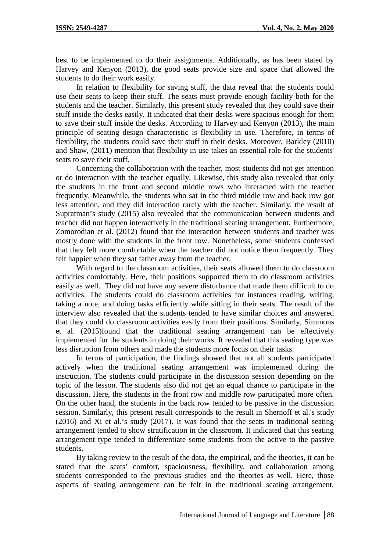best to be implemented to do their assignments. Additionally, as has been stated by Harvey and Kenyon (2013), the good seats provide size and space that allowed the students to do their work easily.

In relation to flexibility for saving stuff, the data reveal that the students could use their seats to keep their stuff. The seats must provide enough facility both for the students and the teacher. Similarly, this present study revealed that they could save their stuff inside the desks easily. It indicated that their desks were spacious enough for them to save their stuff inside the desks. According to Harvey and Kenyon (2013), the main principle of seating design characteristic is flexibility in use. Therefore, in terms of flexibility, the students could save their stuff in their desks. Moreover, Barkley (2010) and Shaw, (2011) mention that flexibility in use takes an essential role for the students' seats to save their stuff.

Concerning the collaboration with the teacher, most students did not get attention or do interaction with the teacher equally. Likewise, this study also revealed that only the students in the front and second middle rows who interacted with the teacher frequently. Meanwhile, the students who sat in the third middle row and back row got less attention, and they did interaction rarely with the teacher. Similarly, the result of Supratman's study (2015) also revealed that the communication between students and teacher did not happen interactively in the traditional seating arrangement. Furthermore, Zomorodian et al. (2012) found that the interaction between students and teacher was mostly done with the students in the front row. Nonetheless, some students confessed that they felt more comfortable when the teacher did not notice them frequently. They felt happier when they sat father away from the teacher.

With regard to the classroom activities, their seats allowed them to do classroom activities comfortably. Here, their positions supported them to do classroom activities easily as well. They did not have any severe disturbance that made them difficult to do activities. The students could do classroom activities for instances reading, writing, taking a note, and doing tasks efficiently while sitting in their seats. The result of the interview also revealed that the students tended to have similar choices and answered that they could do classroom activities easily from their positions. Similarly, Simmons et al. (2015)found that the traditional seating arrangement can be effectively implemented for the students in doing their works. It revealed that this seating type was less disruption from others and made the students more focus on their tasks.

In terms of participation, the findings showed that not all students participated actively when the traditional seating arrangement was implemented during the instruction. The students could participate in the discussion session depending on the topic of the lesson. The students also did not get an equal chance to participate in the discussion. Here, the students in the front row and middle row participated more often. On the other hand, the students in the back row tended to be passive in the discussion session. Similarly, this present result corresponds to the result in Shernoff et al.'s study (2016) and Xi et al.'s study (2017). It was found that the seats in traditional seating arrangement tended to show stratification in the classroom. It indicated that this seating arrangement type tended to differentiate some students from the active to the passive students.

By taking review to the result of the data, the empirical, and the theories, it can be stated that the seats' comfort, spaciousness, flexibility, and collaboration among students corresponded to the previous studies and the theories as well. Here, those aspects of seating arrangement can be felt in the traditional seating arrangement.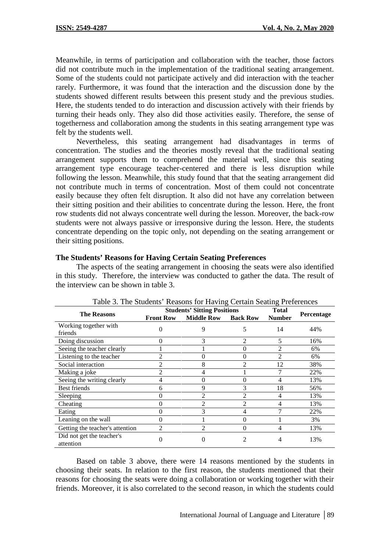Meanwhile, in terms of participation and collaboration with the teacher, those factors did not contribute much in the implementation of the traditional seating arrangement. Some of the students could not participate actively and did interaction with the teacher rarely. Furthermore, it was found that the interaction and the discussion done by the students showed different results between this present study and the previous studies. Here, the students tended to do interaction and discussion actively with their friends by turning their heads only. They also did those activities easily. Therefore, the sense of togetherness and collaboration among the students in this seating arrangement type was felt by the students well.

Nevertheless, this seating arrangement had disadvantages in terms of concentration. The studies and the theories mostly reveal that the traditional seating arrangement supports them to comprehend the material well, since this seating arrangement type encourage teacher-centered and there is less disruption while following the lesson. Meanwhile, this study found that that the seating arrangement did not contribute much in terms of concentration. Most of them could not concentrate easily because they often felt disruption. It also did not have any correlation between their sitting position and their abilities to concentrate during the lesson. Here, the front row students did not always concentrate well during the lesson. Moreover, the back-row students were not always passive or irresponsive during the lesson. Here, the students concentrate depending on the topic only, not depending on the seating arrangement or their sitting positions.

#### **The Students' Reasons for Having Certain Seating Preferences**

The aspects of the seating arrangement in choosing the seats were also identified in this study. Therefore, the interview was conducted to gather the data. The result of the interview can be shown in table 3.

|                                        |                  | <b>Students' Sitting Positions</b> | <b>Total</b>    | racio et rilo etadolito ricadolio foi riatility cortant boatility ricrofolicolo |                   |
|----------------------------------------|------------------|------------------------------------|-----------------|---------------------------------------------------------------------------------|-------------------|
| <b>The Reasons</b>                     | <b>Front Row</b> | <b>Middle Row</b>                  | <b>Back Row</b> | <b>Number</b>                                                                   | <b>Percentage</b> |
| Working together with<br>friends       |                  | 9                                  | 5               | 14                                                                              | 44%               |
| Doing discussion                       |                  |                                    | $\mathfrak{D}$  |                                                                                 | 16%               |
| Seeing the teacher clearly             |                  |                                    | 0               |                                                                                 | 6%                |
| Listening to the teacher               |                  | 0                                  | 0               |                                                                                 | 6%                |
| Social interaction                     |                  | 8                                  | $\overline{2}$  | 12                                                                              | 38%               |
| Making a joke                          | 2                | 4                                  |                 |                                                                                 | 22%               |
| Seeing the writing clearly             | 4                | 0                                  | 0               | 4                                                                               | 13%               |
| <b>Best friends</b>                    | 6                | 9                                  | 3               | 18                                                                              | 56%               |
| Sleeping                               |                  | $\overline{2}$                     | $\overline{2}$  | 4                                                                               | 13%               |
| Cheating                               |                  |                                    | $\overline{2}$  |                                                                                 | 13%               |
| Eating                                 |                  |                                    | 4               |                                                                                 | 22%               |
| Leaning on the wall                    |                  |                                    | $\theta$        |                                                                                 | 3%                |
| Getting the teacher's attention        | 2                | 2                                  | $\theta$        |                                                                                 | 13%               |
| Did not get the teacher's<br>attention |                  |                                    | $\mathfrak{D}$  | 4                                                                               | 13%               |

Table 3. The Students' Reasons for Having Certain Seating Preferences

Based on table 3 above, there were 14 reasons mentioned by the students in choosing their seats. In relation to the first reason, the students mentioned that their reasons for choosing the seats were doing a collaboration or working together with their friends. Moreover, it is also correlated to the second reason, in which the students could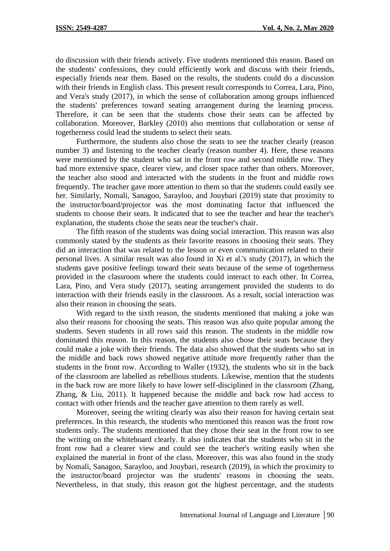do discussion with their friends actively. Five students mentioned this reason. Based on the students' confessions, they could efficiently work and discuss with their friends, especially friends near them. Based on the results, the students could do a discussion with their friends in English class. This present result corresponds to Correa, Lara, Pino, and Vera's study (2017), in which the sense of collaboration among groups influenced the students' preferences toward seating arrangement during the learning process. Therefore, it can be seen that the students chose their seats can be affected by collaboration. Moreover, Barkley (2010) also mentions that collaboration or sense of togetherness could lead the students to select their seats.

Furthermore, the students also chose the seats to see the teacher clearly (reason number 3) and listening to the teacher clearly (reason number 4). Here, these reasons were mentioned by the student who sat in the front row and second middle row. They had more extensive space, clearer view, and closer space rather than others. Moreover, the teacher also stood and interacted with the students in the front and middle rows frequently. The teacher gave more attention to them so that the students could easily see her. Similarly, Nomali, Sanagoo, Sarayloo, and Jouybari (2019) state that proximity to the instructor/board/projector was the most dominating factor that influenced the students to choose their seats. It indicated that to see the teacher and hear the teacher's explanation, the students chose the seats near the teacher's chair.

The fifth reason of the students was doing social interaction. This reason was also commonly stated by the students as their favorite reasons in choosing their seats. They did an interaction that was related to the lesson or even communication related to their personal lives. A similar result was also found in Xi et al.'s study (2017), in which the students gave positive feelings toward their seats because of the sense of togetherness provided in the classroom where the students could interact to each other. In Correa, Lara, Pino, and Vera study (2017), seating arrangement provided the students to do interaction with their friends easily in the classroom. As a result, social interaction was also their reason in choosing the seats.

With regard to the sixth reason, the students mentioned that making a joke was also their reasons for choosing the seats. This reason was also quite popular among the students. Seven students in all rows said this reason. The students in the middle row dominated this reason. In this reason, the students also chose their seats because they could make a joke with their friends. The data also showed that the students who sat in the middle and back rows showed negative attitude more frequently rather than the students in the front row. According to Waller (1932), the students who sit in the back of the classroom are labelled as rebellious students. Likewise, mention that the students in the back row are more likely to have lower self-disciplined in the classroom (Zhang, Zhang, & Liu, 2011). It happened because the middle and back row had access to contact with other friends and the teacher gave attention to them rarely as well.

Moreover, seeing the writing clearly was also their reason for having certain seat preferences. In this research, the students who mentioned this reason was the front row students only. The students mentioned that they chose their seat in the front row to see the writing on the whiteboard clearly. It also indicates that the students who sit in the front row had a clearer view and could see the teacher's writing easily when she explained the material in front of the class. Moreover, this was also found in the study by Nomali, Sanagoo, Sarayloo, and Jouybari, research (2019), in which the proximity to the instructor/board projector was the students' reasons in choosing the seats. Nevertheless, in that study, this reason got the highest percentage, and the students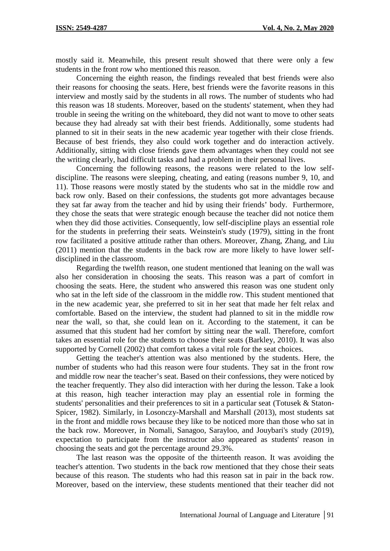mostly said it. Meanwhile, this present result showed that there were only a few students in the front row who mentioned this reason.

Concerning the eighth reason, the findings revealed that best friends were also their reasons for choosing the seats. Here, best friends were the favorite reasons in this interview and mostly said by the students in all rows. The number of students who had this reason was 18 students. Moreover, based on the students' statement, when they had trouble in seeing the writing on the whiteboard, they did not want to move to other seats because they had already sat with their best friends. Additionally, some students had planned to sit in their seats in the new academic year together with their close friends. Because of best friends, they also could work together and do interaction actively. Additionally, sitting with close friends gave them advantages when they could not see the writing clearly, had difficult tasks and had a problem in their personal lives.

Concerning the following reasons, the reasons were related to the low self discipline. The reasons were sleeping, cheating, and eating (reasons number 9, 10, and 11). Those reasons were mostly stated by the students who sat in the middle row and back row only. Based on their confessions, the students got more advantages because they sat far away from the teacher and hid by using their friends' body. Furthermore, they chose the seats that were strategic enough because the teacher did not notice them when they did those activities. Consequently, low self-discipline plays an essential role for the students in preferring their seats. Weinstein's study (1979), sitting in the front row facilitated a positive attitude rather than others. Moreover, Zhang, Zhang, and Liu (2011) mention that the students in the back row are more likely to have lower self disciplined in the classroom.

Regarding the twelfth reason, one student mentioned that leaning on the wall was also her consideration in choosing the seats. This reason was a part of comfort in choosing the seats. Here, the student who answered this reason was one student only who sat in the left side of the classroom in the middle row. This student mentioned that in the new academic year, she preferred to sit in her seat that made her felt relax and comfortable. Based on the interview, the student had planned to sit in the middle row near the wall, so that, she could lean on it. According to the statement, it can be assumed that this student had her comfort by sitting near the wall. Therefore, comfort takes an essential role for the students to choose their seats (Barkley, 2010). It was also supported by Cornell (2002) that comfort takes a vital role for the seat choices.

Getting the teacher's attention was also mentioned by the students. Here, the number of students who had this reason were four students. They sat in the front row and middle row near the teacher's seat. Based on their confessions, they were noticed by the teacher frequently. They also did interaction with her during the lesson. Take a look at this reason, high teacher interaction may play an essential role in forming the students' personalities and their preferences to sit in a particular seat (Totusek & Staton- Spicer, 1982). Similarly, in Losonczy-Marshall and Marshall (2013), most students sat in the front and middle rows because they like to be noticed more than those who sat in the back row. Moreover, in Nomali, Sanagoo, Sarayloo, and Jouybari's study (2019), expectation to participate from the instructor also appeared as students' reason in choosing the seats and got the percentage around 29.3%.

The last reason was the opposite of the thirteenth reason. It was avoiding the teacher's attention. Two students in the back row mentioned that they chose their seats because of this reason. The students who had this reason sat in pair in the back row. Moreover, based on the interview, these students mentioned that their teacher did not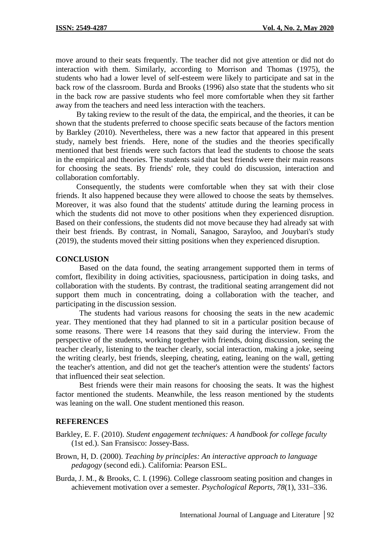move around to their seats frequently. The teacher did not give attention or did not do interaction with them. Similarly, according to Morrison and Thomas (1975), the students who had a lower level of self-esteem were likely to participate and sat in the back row of the classroom. Burda and Brooks (1996) also state that the students who sit in the back row are passive students who feel more comfortable when they sit farther away from the teachers and need less interaction with the teachers.

By taking review to the result of the data, the empirical, and the theories, it can be shown that the students preferred to choose specific seats because of the factors mention by Barkley (2010). Nevertheless, there was a new factor that appeared in this present study, namely best friends. Here, none of the studies and the theories specifically mentioned that best friends were such factors that lead the students to choose the seats in the empirical and theories. The students said that best friends were their main reasons for choosing the seats. By friends' role, they could do discussion, interaction and collaboration comfortably.

Consequently, the students were comfortable when they sat with their close friends. It also happened because they were allowed to choose the seats by themselves. Moreover, it was also found that the students' attitude during the learning process in which the students did not move to other positions when they experienced disruption. Based on their confessions, the students did not move because they had already sat with their best friends. By contrast, in Nomali, Sanagoo, Sarayloo, and Jouybari's study (2019), the students moved their sitting positions when they experienced disruption.

#### **CONCLUSION**

Based on the data found, the seating arrangement supported them in terms of comfort, flexibility in doing activities, spaciousness, participation in doing tasks, and collaboration with the students. By contrast, the traditional seating arrangement did not support them much in concentrating, doing a collaboration with the teacher, and participating in the discussion session.

The students had various reasons for choosing the seats in the new academic year. They mentioned that they had planned to sit in a particular position because of some reasons. There were 14 reasons that they said during the interview. From the perspective of the students, working together with friends, doing discussion, seeing the teacher clearly, listening to the teacher clearly, social interaction, making a joke, seeing the writing clearly, best friends, sleeping, cheating, eating, leaning on the wall, getting the teacher's attention, and did not get the teacher's attention were the students' factors that influenced their seat selection.

Best friends were their main reasons for choosing the seats. It was the highest factor mentioned the students. Meanwhile, the less reason mentioned by the students was leaning on the wall. One student mentioned this reason.

#### **REFERENCES**

Barkley, E. F. (2010). *Student engagement techniques: A handbook for college faculty* (1st ed.). San Fransisco: Jossey-Bass.

- Brown, H, D. (2000). *Teaching by principles: An interactive approach to language pedagogy* (second edi.). California: Pearson ESL.
- Burda, J. M., & Brooks, C. I. (1996). College classroom seating position and changes in achievement motivation over a semester. *Psychological Reports*, *78*(1), 331–336.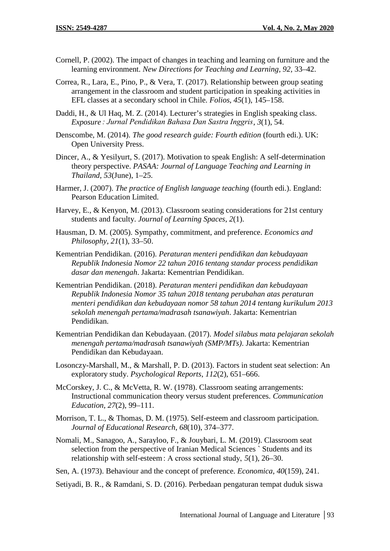- Cornell, P. (2002). The impact of changes in teaching and learning on furniture and the learning environment. *New Directions for Teaching and Learning*, *92*, 33–42.
- Correa, R., Lara, E., Pino, P., & Vera, T. (2017). Relationship between group seating arrangement in the classroom and student participation in speaking activities in EFL classes at a secondary school in Chile. *Folios*, *45*(1), 145–158.
- Daddi, H., & Ul Haq, M. Z. (2014). Lecturer's strategies in English speaking class. *Exposure : Jurnal Pendidikan Bahasa Dan Sastra Inggris*, *3*(1), 54.
- Denscombe, M. (2014). *The good research guide: Fourth edition* (fourth edi.). UK: Open University Press.
- Dincer, A., & Yesilyurt, S. (2017). Motivation to speak English: A self-determination theory perspective. *PASAA: Journal of Language Teaching and Learning in Thailand*, *53*(June), 1–25.
- Harmer, J. (2007). *The practice of English language teaching* (fourth edi.). England: Pearson Education Limited.
- Harvey, E., & Kenyon, M. (2013). Classroom seating considerations for 21st century students and faculty. *Journal of Learning Spaces*, *2*(1).
- Hausman, D. M. (2005). Sympathy, commitment, and preference. *Economics and Philosophy*, *21*(1), 33–50.
- Kementrian Pendidikan. (2016). *Peraturan menteri pendidikan dan kebudayaan Republik Indonesia Nomor 22 tahun 2016 tentang standar process pendidikan dasar dan menengah*. Jakarta: Kementrian Pendidikan.
- Kementrian Pendidikan. (2018). *Peraturan menteri pendidikan dan kebudayaan Republik Indonesia Nomor 35 tahun 2018 tentang perubahan atas peraturan menteri pendidikan dan kebudayaan nomor 58 tahun 2014 tentang kurikulum 2013 sekolah menengah pertama/madrasah tsanawiyah*. Jakarta: Kementrian Pendidikan.
- Kementrian Pendidikan dan Kebudayaan. (2017). *Model silabus mata pelajaran sekolah menengah pertama/madrasah tsanawiyah (SMP/MTs)*. Jakarta: Kementrian Pendidikan dan Kebudayaan.
- Losonczy-Marshall, M., & Marshall, P. D. (2013). Factors in student seat selection: An exploratory study. *Psychological Reports*, *112*(2), 651–666.
- McCorskey, J. C., & McVetta, R. W. (1978). Classroom seating arrangements: Instructional communication theory versus student preferences. *Communication Education*, *27*(2), 99–111.
- Morrison, T. L., & Thomas, D. M. (1975). Self-esteem and classroom participation. *Journal of Educational Research*, *68*(10), 374–377.
- Nomali, M., Sanagoo, A., Sarayloo, F., & Jouybari, L. M. (2019). Classroom seat selection from the perspective of Iranian Medical Sciences ` Students and its relationship with self-esteem : A cross sectional study, *5*(1), 26–30.
- Sen, A. (1973). Behaviour and the concept of preference. *Economica*, *40*(159), 241.
- Setiyadi, B. R., & Ramdani, S. D. (2016). Perbedaan pengaturan tempat duduk siswa